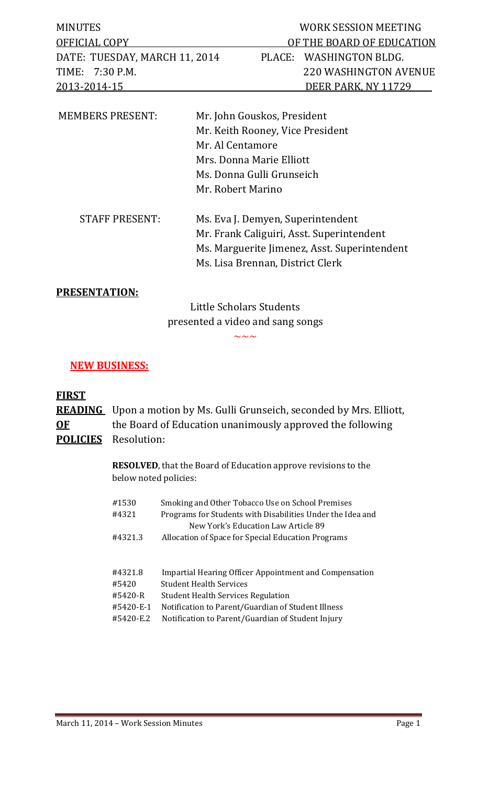| <b>MINUTES</b>                | WORK SESSION MEETING      |
|-------------------------------|---------------------------|
| OFFICIAL COPY                 | OF THE BOARD OF EDUCATION |
| DATE: TUESDAY, MARCH 11, 2014 | PLACE: WASHINGTON BLDG.   |
| TIME: 7:30 P.M.               | 220 WASHINGTON AVENUE     |
| 2013-2014-15                  | DEER PARK. NY 11729       |
|                               |                           |

| <b>MEMBERS PRESENT:</b> | Mr. John Gouskos, President                  |  |  |
|-------------------------|----------------------------------------------|--|--|
|                         | Mr. Keith Rooney, Vice President             |  |  |
|                         | Mr. Al Centamore                             |  |  |
|                         | Mrs. Donna Marie Elliott                     |  |  |
|                         | Ms. Donna Gulli Grunseich                    |  |  |
|                         | Mr. Robert Marino                            |  |  |
| <b>STAFF PRESENT:</b>   | Ms. Eva J. Demyen, Superintendent            |  |  |
|                         | Mr. Frank Caliguiri, Asst. Superintendent    |  |  |
|                         | Ms. Marguerite Jimenez, Asst. Superintendent |  |  |
|                         | Ms. Lisa Brennan, District Clerk             |  |  |

## **PRESENTATION:**

Little Scholars Students presented a video and sang songs

 $\sim\sim\sim$ 

#### **NEW BUSINESS:**

## **FIRST**

**READING** Upon a motion by Ms. Gulli Grunseich, seconded by Mrs. Elliott, **OF** the Board of Education unanimously approved the following **POLICIES** Resolution:

> **RESOLVED**, that the Board of Education approve revisions to the below noted policies:

| #1530<br>#4321 | Smoking and Other Tobacco Use on School Premises<br>Programs for Students with Disabilities Under the Idea and<br>New York's Education Law Article 89 |
|----------------|-------------------------------------------------------------------------------------------------------------------------------------------------------|
| #4321.3        | Allocation of Space for Special Education Programs                                                                                                    |
|                |                                                                                                                                                       |
| #4321.8        | <b>Impartial Hearing Officer Appointment and Compensation</b>                                                                                         |
| #5420          | <b>Student Health Services</b>                                                                                                                        |
| #5420-R        | <b>Student Health Services Regulation</b>                                                                                                             |
| #5420-E-1      | Notification to Parent/Guardian of Student Illness                                                                                                    |
| #5420-E.2      | Notification to Parent/Guardian of Student Injury                                                                                                     |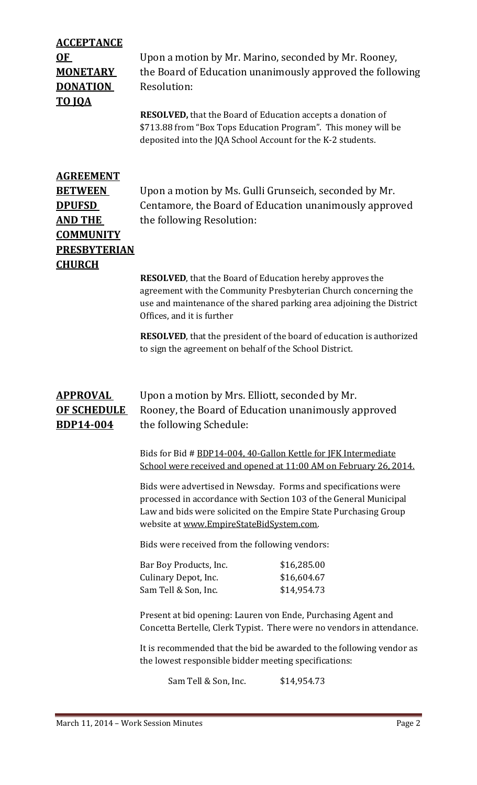| <b>ACCEPTANCE</b><br>0 <sub>F</sub><br><b>MONETARY</b><br><b>DONATION</b><br><b>TO JQA</b>                                 | Upon a motion by Mr. Marino, seconded by Mr. Rooney,<br>the Board of Education unanimously approved the following<br>Resolution:<br><b>RESOLVED</b> , that the Board of Education accepts a donation of<br>\$713.88 from "Box Tops Education Program". This money will be<br>deposited into the JQA School Account for the K-2 students. |                                           |  |
|----------------------------------------------------------------------------------------------------------------------------|------------------------------------------------------------------------------------------------------------------------------------------------------------------------------------------------------------------------------------------------------------------------------------------------------------------------------------------|-------------------------------------------|--|
| <b>AGREEMENT</b><br><b>BETWEEN</b><br><b>DPUFSD</b><br>AND THE<br><b>COMMUNITY</b><br><b>PRESBYTERIAN</b><br><b>CHURCH</b> | Upon a motion by Ms. Gulli Grunseich, seconded by Mr.<br>Centamore, the Board of Education unanimously approved<br>the following Resolution:                                                                                                                                                                                             |                                           |  |
|                                                                                                                            | <b>RESOLVED</b> , that the Board of Education hereby approves the<br>agreement with the Community Presbyterian Church concerning the<br>use and maintenance of the shared parking area adjoining the District<br>Offices, and it is further                                                                                              |                                           |  |
|                                                                                                                            | <b>RESOLVED</b> , that the president of the board of education is authorized<br>to sign the agreement on behalf of the School District.                                                                                                                                                                                                  |                                           |  |
| <b>APPROVAL</b><br><b>OF SCHEDULE</b><br><b>BDP14-004</b>                                                                  | Upon a motion by Mrs. Elliott, seconded by Mr.<br>Rooney, the Board of Education unanimously approved<br>the following Schedule:                                                                                                                                                                                                         |                                           |  |
|                                                                                                                            | Bids for Bid # BDP14-004, 40-Gallon Kettle for JFK Intermediate<br>School were received and opened at 11:00 AM on February 26, 2014.                                                                                                                                                                                                     |                                           |  |
|                                                                                                                            | Bids were advertised in Newsday. Forms and specifications were<br>processed in accordance with Section 103 of the General Municipal<br>Law and bids were solicited on the Empire State Purchasing Group<br>website at www.EmpireStateBidSystem.com.                                                                                      |                                           |  |
|                                                                                                                            | Bids were received from the following vendors:                                                                                                                                                                                                                                                                                           |                                           |  |
|                                                                                                                            | Bar Boy Products, Inc.<br>Culinary Depot, Inc.<br>Sam Tell & Son, Inc.                                                                                                                                                                                                                                                                   | \$16,285.00<br>\$16,604.67<br>\$14,954.73 |  |
|                                                                                                                            | Present at bid opening: Lauren von Ende, Purchasing Agent and<br>Concetta Bertelle, Clerk Typist. There were no vendors in attendance.                                                                                                                                                                                                   |                                           |  |
|                                                                                                                            | It is recommended that the bid be awarded to the following vendor as<br>the lowest responsible bidder meeting specifications:                                                                                                                                                                                                            |                                           |  |

Sam Tell & Son, Inc. \$14,954.73